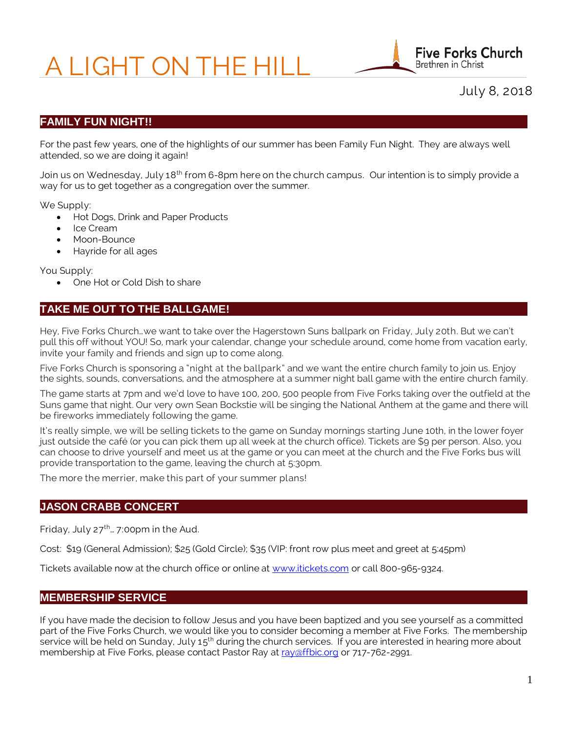# A LIGHT ON THE HILL



July 8, 2018

### **FAMILY FUN NIGHT!!**

For the past few years, one of the highlights of our summer has been Family Fun Night. They are always well attended, so we are doing it again!

Join us on Wednesday, July 18<sup>th</sup> from 6-8pm here on the church campus. Our intention is to simply provide a way for us to get together as a congregation over the summer.

We Supply:

- Hot Dogs, Drink and Paper Products
- Ice Cream
- Moon-Bounce
- Hayride for all ages

You Supply:

• One Hot or Cold Dish to share

### **TAKE ME OUT TO THE BALLGAME!**

Hey, Five Forks Church…we want to take over the Hagerstown Suns ballpark on Friday, July 20th. But we can't pull this off without YOU! So, mark your calendar, change your schedule around, come home from vacation early, invite your family and friends and sign up to come along.

Five Forks Church is sponsoring a "night at the ballpark" and we want the entire church family to join us. Enjoy the sights, sounds, conversations, and the atmosphere at a summer night ball game with the entire church family.

The game starts at 7pm and we'd love to have 100, 200, 500 people from Five Forks taking over the outfield at the Suns game that night. Our very own Sean Bockstie will be singing the National Anthem at the game and there will be fireworks immediately following the game.

It's really simple, we will be selling tickets to the game on Sunday mornings starting June 10th, in the lower foyer just outside the café (or you can pick them up all week at the church office). Tickets are \$9 per person. Also, you can choose to drive yourself and meet us at the game or you can meet at the church and the Five Forks bus will provide transportation to the game, leaving the church at 5:30pm.

The more the merrier, make this part of your summer plans!

#### **JASON CRABB CONCERT**

Friday, July  $27^{th}$ ... 7:00pm in the Aud.

Cost: \$19 (General Admission); \$25 (Gold Circle); \$35 (VIP: front row plus meet and greet at 5:45pm)

Tickets available now at the church office or online at [www.itickets.com](http://www.itickets.com/) or call 800-965-9324.

### **MEMBERSHIP SERVICE**

If you have made the decision to follow Jesus and you have been baptized and you see yourself as a committed part of the Five Forks Church, we would like you to consider becoming a member at Five Forks. The membership service will be held on Sunday, July  $15<sup>th</sup>$  during the church services. If you are interested in hearing more about membership at Five Forks, please contact Pastor Ray a[t ray@ffbic.org](mailto:ray@ffbic.org) or 717-762-2991.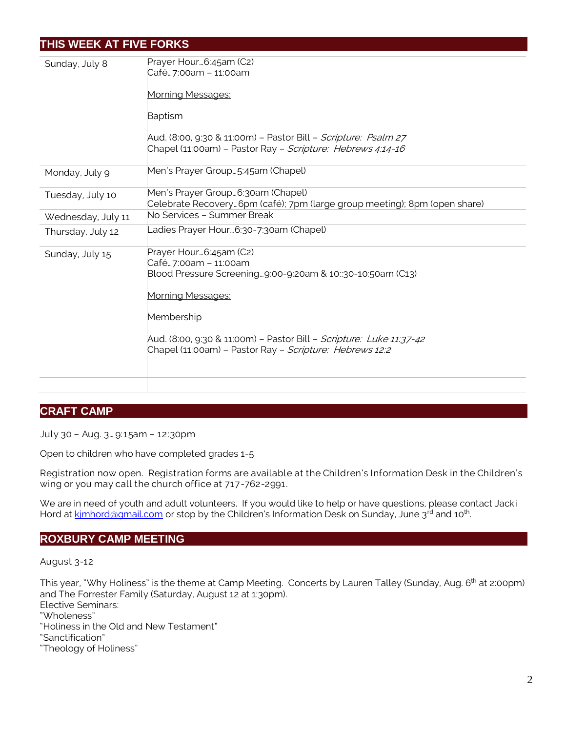# **THIS WEEK AT FIVE FORKS**

| Sunday, July 8     | Prayer Hour 6:45am (C2)<br>Café7:00am - 11:00am<br>Morning Messages:<br>Baptism<br>Aud. (8:00, 9:30 & 11:00m) - Pastor Bill - Scripture: Psalm 27<br>Chapel (11:00am) - Pastor Ray - Scripture: Hebrews 4:14-16                                                                    |
|--------------------|------------------------------------------------------------------------------------------------------------------------------------------------------------------------------------------------------------------------------------------------------------------------------------|
| Monday, July 9     | Men's Prayer Group5:45am (Chapel)                                                                                                                                                                                                                                                  |
| Tuesday, July 10   | Men's Prayer Group6:30am (Chapel)<br>Celebrate Recovery6pm (café); 7pm (large group meeting); 8pm (open share)                                                                                                                                                                     |
| Wednesday, July 11 | No Services - Summer Break                                                                                                                                                                                                                                                         |
| Thursday, July 12  | _adies Prayer Hour…6:30-7:30am (Chapel)                                                                                                                                                                                                                                            |
| Sunday, July 15    | Prayer Hour6:45am (C2)<br>Café…7:00am – 11:00am<br>Blood Pressure Screening9:00-9:20am & 10::30-10:50am (C13)<br>Morning Messages:<br>Membership<br>Aud. (8:00, 9:30 & 11:00m) - Pastor Bill - Scripture: Luke 11:37-42<br>Chapel (11:00am) - Pastor Ray - Scripture: Hebrews 12:2 |
|                    |                                                                                                                                                                                                                                                                                    |

## **CRAFT CAMP**

July 30 – Aug. 3… 9:15am – 12:30pm

Open to children who have completed grades 1-5

Registration now open. Registration forms are available at the Children's Information Desk in the Children's wing or you may call the church office at 717-762-2991.

We are in need of youth and adult volunteers. If you would like to help or have questions, please contact Jacki Hord at kimhord@gmail.com or stop by the Children's Information Desk on Sunday, June 3<sup>rd</sup> and 10<sup>th</sup>. .

### **ROXBURY CAMP MEETING**

August 3-12

This year, "Why Holiness" is the theme at Camp Meeting. Concerts by Lauren Talley (Sunday, Aug. 6<sup>th</sup> at 2:00pm) and The Forrester Family (Saturday, August 12 at 1:30pm).

Elective Seminars:

"Wholeness"

"Holiness in the Old and New Testament"

"Sanctification"

"Theology of Holiness"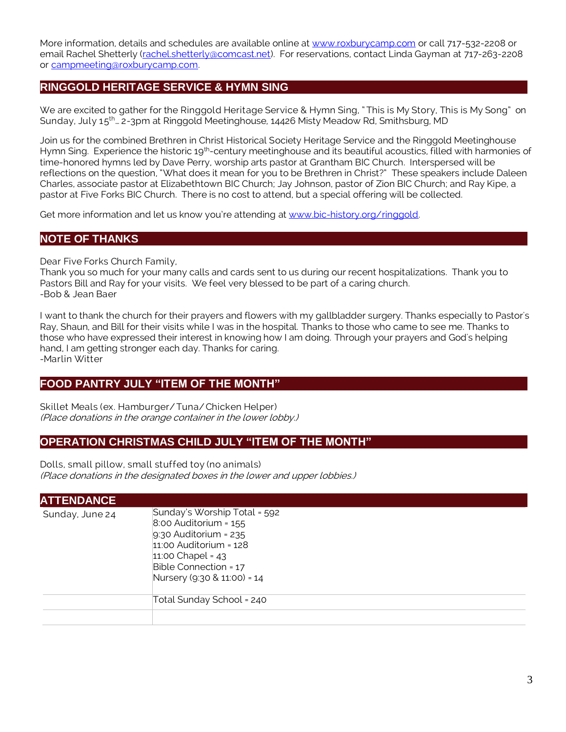More information, details and schedules are available online at [www.roxburycamp.com](http://www.roxburycamp.com/) or call 717-532-2208 or email Rachel Shetterly [\(rachel.shetterly@comcast.net\)](mailto:rachel.shetterly@comcast.net). For reservations, contact Linda Gayman at 717-263-2208 or [campmeeting@roxburycamp.com.](mailto:campmeeting@roxburycamp.com)

## **RINGGOLD HERITAGE SERVICE & HYMN SING**

We are excited to gather for the Ringgold Heritage Service & Hymn Sing, " This is My Story, This is My Song" on Sunday, July 15<sup>th</sup>... 2-3pm at Ringgold Meetinghouse, 14426 Misty Meadow Rd, Smithsburg, MD

Join us for the combined Brethren in Christ Historical Society Heritage Service and the Ringgold Meetinghouse Hymn Sing. Experience the historic 19<sup>th</sup>-century meetinghouse and its beautiful acoustics, filled with harmonies of time-honored hymns led by Dave Perry, worship arts pastor at Grantham BIC Church. Interspersed will be reflections on the question, "What does it mean for you to be Brethren in Christ?" These speakers include Daleen Charles, associate pastor at Elizabethtown BIC Church; Jay Johnson, pastor of Zion BIC Church; and Ray Kipe, a pastor at Five Forks BIC Church. There is no cost to attend, but a special offering will be collected.

Get more information and let us know you're attending at [www.bic-history.org/ringgold.](http://www.bic-history.org/ringgold)

## **NOTE OF THANKS**

Dear Five Forks Church Family,

Thank you so much for your many calls and cards sent to us during our recent hospitalizations. Thank you to Pastors Bill and Ray for your visits. We feel very blessed to be part of a caring church. -Bob & Jean Baer

I want to thank the church for their prayers and flowers with my gallbladder surgery. Thanks especially to Pastor's Ray, Shaun, and Bill for their visits while I was in the hospital. Thanks to those who came to see me. Thanks to those who have expressed their interest in knowing how I am doing. Through your prayers and God's helping hand, I am getting stronger each day. Thanks for caring. -Marlin Witter

### **FOOD PANTRY JULY "ITEM OF THE MONTH"**

Skillet Meals (ex. Hamburger/ Tuna/ Chicken Helper) (Place donations in the orange container in the lower lobby.)

#### **OPERATION CHRISTMAS CHILD JULY "ITEM OF THE MONTH"**

Dolls, small pillow, small stuffed toy (no animals) (Place donations in the designated boxes in the lower and upper lobbies.)

| <b>ATTENDANCE</b> |                                                                                                                                                                                                   |
|-------------------|---------------------------------------------------------------------------------------------------------------------------------------------------------------------------------------------------|
| Sunday, June 24   | Sunday's Worship Total = 592<br>$8.00$ Auditorium = $155$<br>$9:30$ Auditorium = 235<br>$11:00$ Auditorium = $128$<br>$11:00$ Chapel = 43<br>Bible Connection = 17<br>Nursery (9:30 & 11:00) = 14 |
|                   | Total Sunday School = 240                                                                                                                                                                         |